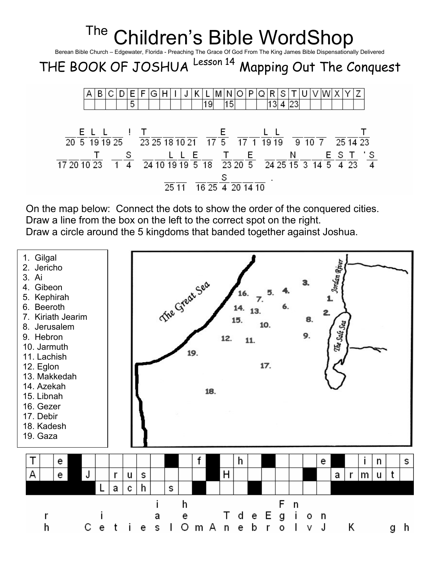

On the map below: Connect the dots to show the order of the conquered cities. Draw a line from the box on the left to the correct spot on the right. Draw a circle around the 5 kingdoms that banded together against Joshua.

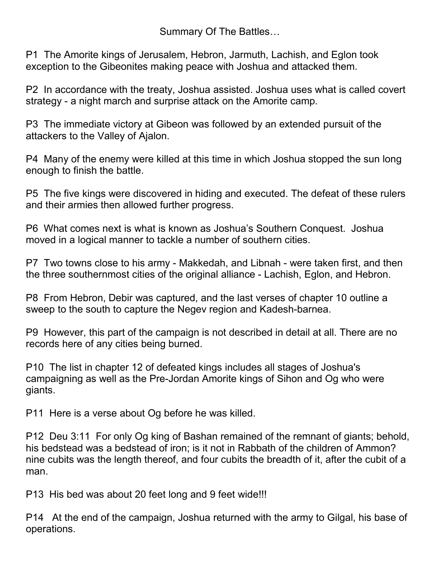Summary Of The Battles…

P1 The Amorite kings of Jerusalem, Hebron, Jarmuth, Lachish, and Eglon took exception to the Gibeonites making peace with Joshua and attacked them.

P2 In accordance with the treaty, Joshua assisted. Joshua uses what is called covert strategy - a night march and surprise attack on the Amorite camp.

P3 The immediate victory at Gibeon was followed by an extended pursuit of the attackers to the Valley of Ajalon.

P4 Many of the enemy were killed at this time in which Joshua stopped the sun long enough to finish the battle.

P5 The five kings were discovered in hiding and executed. The defeat of these rulers and their armies then allowed further progress.

P6 What comes next is what is known as Joshua's Southern Conquest. Joshua moved in a logical manner to tackle a number of southern cities.

P7 Two towns close to his army - Makkedah, and Libnah - were taken first, and then the three southernmost cities of the original alliance - Lachish, Eglon, and Hebron.

P8 From Hebron, Debir was captured, and the last verses of chapter 10 outline a sweep to the south to capture the Negev region and Kadesh-barnea.

P9 However, this part of the campaign is not described in detail at all. There are no records here of any cities being burned.

P10 The list in chapter 12 of defeated kings includes all stages of Joshua's campaigning as well as the Pre-Jordan Amorite kings of Sihon and Og who were giants.

P11 Here is a verse about Og before he was killed.

P12 Deu 3:11 For only Og king of Bashan remained of the remnant of giants; behold, his bedstead was a bedstead of iron; is it not in Rabbath of the children of Ammon? nine cubits was the length thereof, and four cubits the breadth of it, after the cubit of a man.

P13 His bed was about 20 feet long and 9 feet wide!!!

P14 At the end of the campaign, Joshua returned with the army to Gilgal, his base of operations.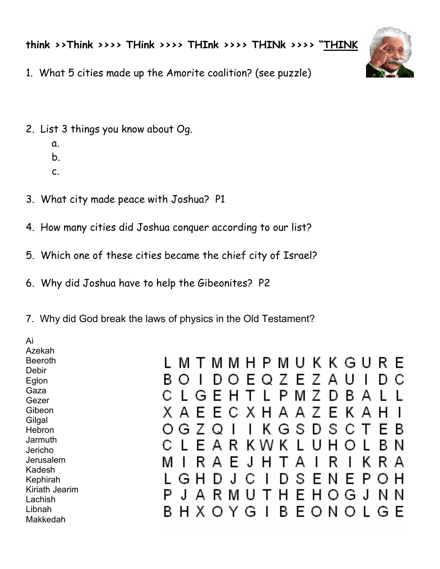think >>Think >>>> THink >>>> THInk >>>> THINk >>>> "THINK



- 1. What 5 cities made up the Amorite coalition? (see puzzle)
- 2. List 3 things you know about Og.
	- a.
	- b.
	- c.
- 3. What city made peace with Joshua? P1
- 4. How many cities did Joshua conquer according to our list?
- 5. Which one of these cities became the chief city of Israel?
- 6. Why did Joshua have to help the Gibeonites? P2
- 7. Why did God break the laws of physics in the Old Testament?

Ai Azekah Beeroth L M T M M H P M U K K G U R E Debir 7 A B.  $\circ$  1 O F 7 F U D. O D C Eglon Gaza  $\mathbf{I}$ G F H P М 7 D B. А Gezer **Gibeon** ΧA F X H A F ĸ F C А 7 **Gilgal** S G S  $\bigcap$ 7 Ω Κ G D в **Hebron** Jarmuth E A К ĸ Κ U н в Ν Jericho Jerusalem R κ м I А F .1 А R I R А Kadesh S P G Ν F н L н וו F Kephirah Kiriath Jearim P  $\cdot$ A R F н J н G Ν N O Lachish Libnah BHXOYG B EONOL G F Makkedah